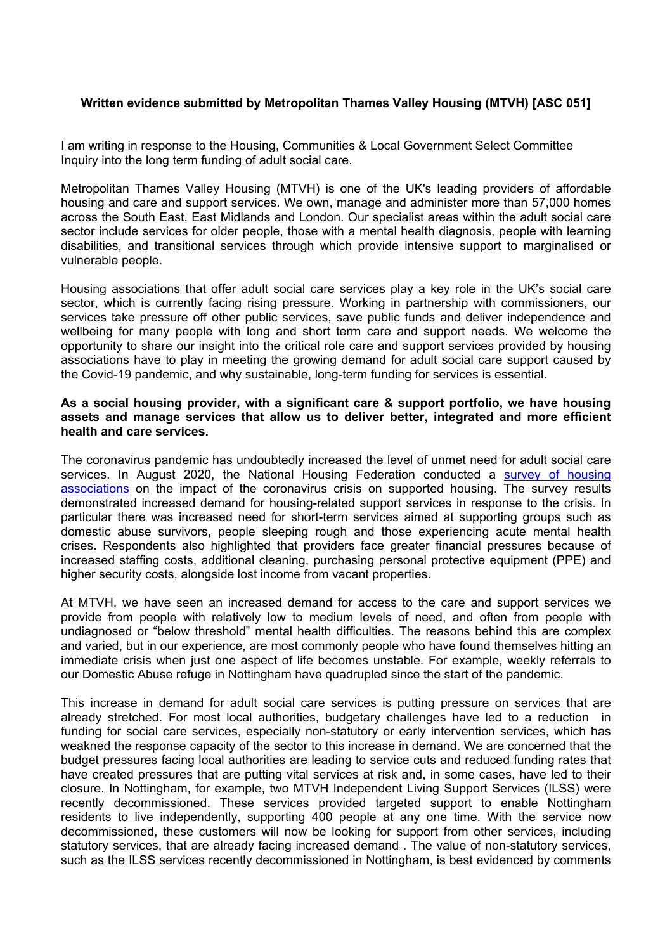## **Written evidence submitted by Metropolitan Thames Valley Housing (MTVH) [ASC 051]**

I am writing in response to the Housing, Communities & Local Government Select Committee Inquiry into the long term funding of adult social care.

Metropolitan Thames Valley Housing (MTVH) is one of the UK's leading providers of affordable housing and care and support services. We own, manage and administer more than 57,000 homes across the South East, East Midlands and London. Our specialist areas within the adult social care sector include services for older people, those with a mental health diagnosis, people with learning disabilities, and transitional services through which provide intensive support to marginalised or vulnerable people.

Housing associations that offer adult social care services play a key role in the UK's social care sector, which is currently facing rising pressure. Working in partnership with commissioners, our services take pressure off other public services, save public funds and deliver independence and wellbeing for many people with long and short term care and support needs. We welcome the opportunity to share our insight into the critical role care and support services provided by housing associations have to play in meeting the growing demand for adult social care support caused by the Covid-19 pandemic, and why sustainable, long-term funding for services is essential.

## **As a social housing provider, with a significant care & support portfolio, we have housing assets and manage services that allow us to deliver better, integrated and more efficient health and care services.**

The coronavirus pandemic has undoubtedly increased the level of unmet need for adult social care services. In August 2020, the National Housing Federation conducted a [survey](https://www.housing.org.uk/resources/briefing-on-the-financial-impact-of-the-coronavirus-crisis-on-supported-housing-providers/) [of](https://www.housing.org.uk/resources/briefing-on-the-financial-impact-of-the-coronavirus-crisis-on-supported-housing-providers/) [housing](https://www.housing.org.uk/resources/briefing-on-the-financial-impact-of-the-coronavirus-crisis-on-supported-housing-providers/) [associations](https://www.housing.org.uk/resources/briefing-on-the-financial-impact-of-the-coronavirus-crisis-on-supported-housing-providers/) on the impact of the coronavirus crisis on supported housing. The survey results demonstrated increased demand for housing-related support services in response to the crisis. In particular there was increased need for short-term services aimed at supporting groups such as domestic abuse survivors, people sleeping rough and those experiencing acute mental health crises. Respondents also highlighted that providers face greater financial pressures because of increased staffing costs, additional cleaning, purchasing personal protective equipment (PPE) and higher security costs, alongside lost income from vacant properties.

At MTVH, we have seen an increased demand for access to the care and support services we provide from people with relatively low to medium levels of need, and often from people with undiagnosed or "below threshold" mental health difficulties. The reasons behind this are complex and varied, but in our experience, are most commonly people who have found themselves hitting an immediate crisis when just one aspect of life becomes unstable. For example, weekly referrals to our Domestic Abuse refuge in Nottingham have quadrupled since the start of the pandemic.

This increase in demand for adult social care services is putting pressure on services that are already stretched. For most local authorities, budgetary challenges have led to a reduction in funding for social care services, especially non-statutory or early intervention services, which has weakned the response capacity of the sector to this increase in demand. We are concerned that the budget pressures facing local authorities are leading to service cuts and reduced funding rates that have created pressures that are putting vital services at risk and, in some cases, have led to their closure. In Nottingham, for example, two MTVH Independent Living Support Services (ILSS) were recently decommissioned. These services provided targeted support to enable Nottingham residents to live independently, supporting 400 people at any one time. With the service now decommissioned, these customers will now be looking for support from other services, including statutory services, that are already facing increased demand . The value of non-statutory services, such as the ILSS services recently decommissioned in Nottingham, is best evidenced by comments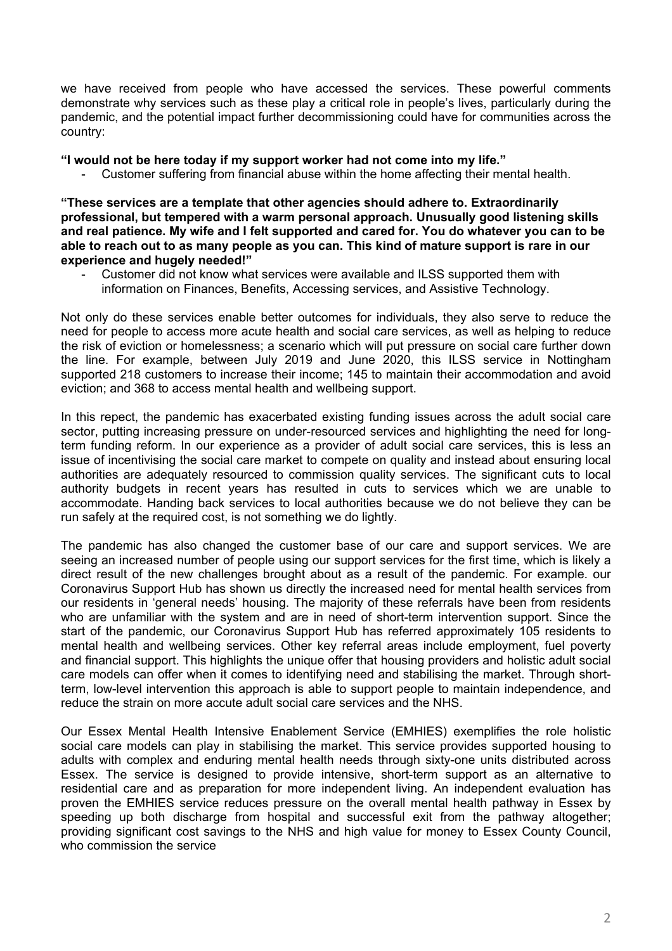we have received from people who have accessed the services. These powerful comments demonstrate why services such as these play a critical role in people's lives, particularly during the pandemic, and the potential impact further decommissioning could have for communities across the country:

## **"I would not be here today if my support worker had not come into my life."**

Customer suffering from financial abuse within the home affecting their mental health.

**"These services are a template that other agencies should adhere to. Extraordinarily professional, but tempered with a warm personal approach. Unusually good listening skills** and real patience. My wife and I felt supported and cared for. You do whatever you can to be able to reach out to as many people as you can. This kind of mature support is rare in our **experience and hugely needed!"**

Customer did not know what services were available and ILSS supported them with information on Finances, Benefits, Accessing services, and Assistive Technology.

Not only do these services enable better outcomes for individuals, they also serve to reduce the need for people to access more acute health and social care services, as well as helping to reduce the risk of eviction or homelessness; a scenario which will put pressure on social care further down the line. For example, between July 2019 and June 2020, this ILSS service in Nottingham supported 218 customers to increase their income; 145 to maintain their accommodation and avoid eviction; and 368 to access mental health and wellbeing support.

In this repect, the pandemic has exacerbated existing funding issues across the adult social care sector, putting increasing pressure on under-resourced services and highlighting the need for longterm funding reform. In our experience as a provider of adult social care services, this is less an issue of incentivising the social care market to compete on quality and instead about ensuring local authorities are adequately resourced to commission quality services. The significant cuts to local authority budgets in recent years has resulted in cuts to services which we are unable to accommodate. Handing back services to local authorities because we do not believe they can be run safely at the required cost, is not something we do lightly.

The pandemic has also changed the customer base of our care and support services. We are seeing an increased number of people using our support services for the first time, which is likely a direct result of the new challenges brought about as a result of the pandemic. For example. our Coronavirus Support Hub has shown us directly the increased need for mental health services from our residents in 'general needs' housing. The majority of these referrals have been from residents who are unfamiliar with the system and are in need of short-term intervention support. Since the start of the pandemic, our Coronavirus Support Hub has referred approximately 105 residents to mental health and wellbeing services. Other key referral areas include employment, fuel poverty and financial support. This highlights the unique offer that housing providers and holistic adult social care models can offer when it comes to identifying need and stabilising the market. Through shortterm, low-level intervention this approach is able to support people to maintain independence, and reduce the strain on more accute adult social care services and the NHS.

Our Essex Mental Health Intensive Enablement Service (EMHIES) exemplifies the role holistic social care models can play in stabilising the market. This service provides supported housing to adults with complex and enduring mental health needs through sixty-one units distributed across Essex. The service is designed to provide intensive, short-term support as an alternative to residential care and as preparation for more independent living. An independent evaluation has proven the EMHIES service reduces pressure on the overall mental health pathway in Essex by speeding up both discharge from hospital and successful exit from the pathway altogether; providing significant cost savings to the NHS and high value for money to Essex County Council, who commission the service